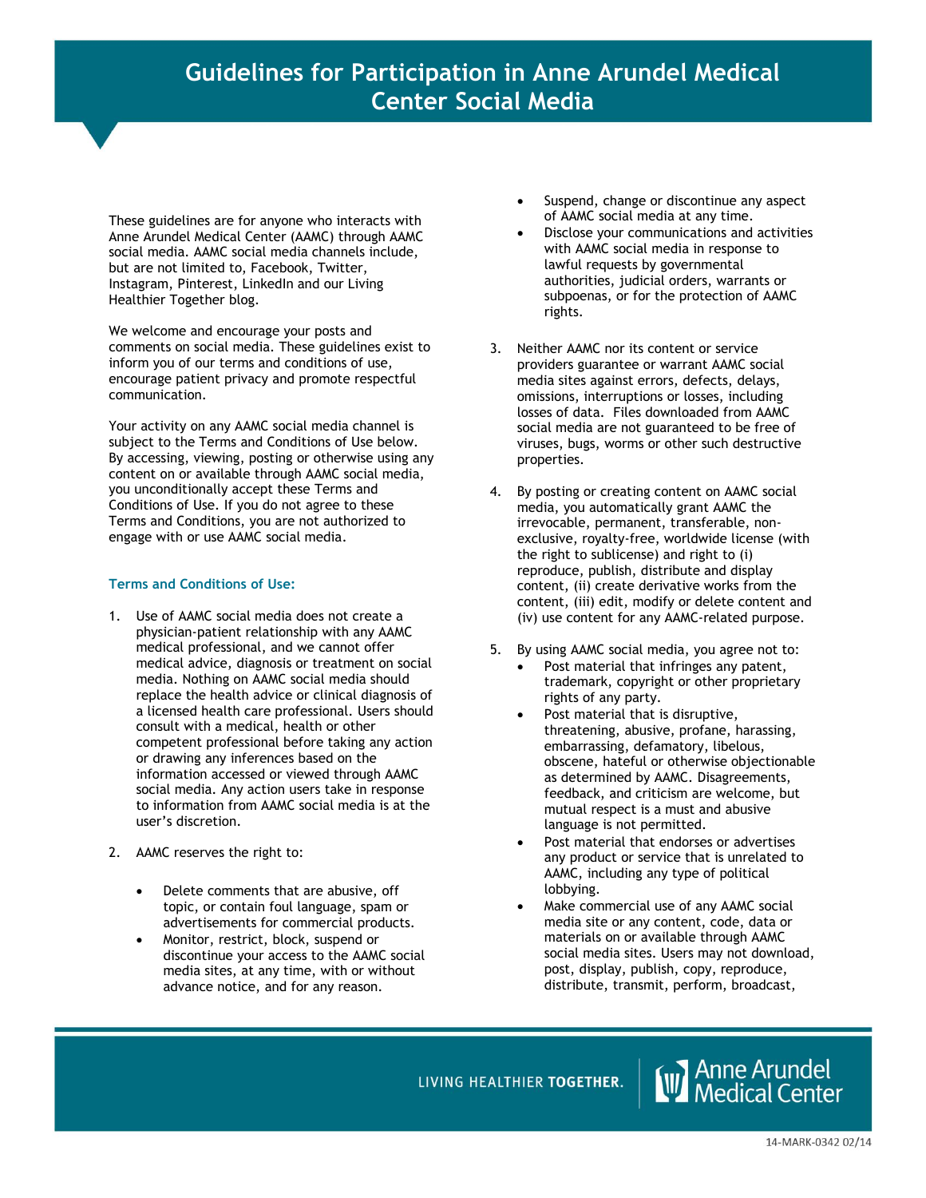These guidelines are for anyone who interacts with Anne Arundel Medical Center (AAMC) through AAMC social media. AAMC social media channels include, but are not limited to, Facebook, Twitter, Instagram, Pinterest, LinkedIn and our Living Healthier Together blog.

We welcome and encourage your posts and comments on social media. These guidelines exist to inform you of our terms and conditions of use, encourage patient privacy and promote respectful communication.

Your activity on any AAMC social media channel is subject to the Terms and Conditions of Use below. By accessing, viewing, posting or otherwise using any content on or available through AAMC social media, you unconditionally accept these Terms and Conditions of Use. If you do not agree to these Terms and Conditions, you are not authorized to engage with or use AAMC social media.

## **Terms and Conditions of Use:**

- 1. Use of AAMC social media does not create a physician-patient relationship with any AAMC medical professional, and we cannot offer medical advice, diagnosis or treatment on social media. Nothing on AAMC social media should replace the health advice or clinical diagnosis of a licensed health care professional. Users should consult with a medical, health or other competent professional before taking any action or drawing any inferences based on the information accessed or viewed through AAMC social media. Any action users take in response to information from AAMC social media is at the user's discretion.
- 2. AAMC reserves the right to:
	- Delete comments that are abusive, off topic, or contain foul language, spam or advertisements for commercial products.
	- Monitor, restrict, block, suspend or discontinue your access to the AAMC social media sites, at any time, with or without advance notice, and for any reason.
- **Example 1** Suspend, change or discontinue any aspect of AAMC social media at any time. **els**
	- Disclose your communications and activities with AAMC social media in response to lawful requests by governmental authorities, judicial orders, warrants or subpoenas, or for the protection of AAMC rights.
	- 3. Neither AAMC nor its content or service providers guarantee or warrant AAMC social media sites against errors, defects, delays, omissions, interruptions or losses, including losses of data. Files downloaded from AAMC social media are not guaranteed to be free of viruses, bugs, worms or other such destructive properties.
	- 4. By posting or creating content on AAMC social media, you automatically grant AAMC the irrevocable, permanent, transferable, nonexclusive, royalty-free, worldwide license (with the right to sublicense) and right to (i) reproduce, publish, distribute and display content, (ii) create derivative works from the content, (iii) edit, modify or delete content and (iv) use content for any AAMC-related purpose.
	- 5. By using AAMC social media, you agree not to:
		- Post material that infringes any patent, trademark, copyright or other proprietary rights of any party.
		- Post material that is disruptive, threatening, abusive, profane, harassing, embarrassing, defamatory, libelous, obscene, hateful or otherwise objectionable as determined by AAMC. Disagreements, feedback, and criticism are welcome, but mutual respect is a must and abusive language is not permitted.
		- Post material that endorses or advertises any product or service that is unrelated to AAMC, including any type of political lobbying.
		- Make commercial use of any AAMC social media site or any content, code, data or materials on or available through AAMC social media sites. Users may not download, post, display, publish, copy, reproduce, distribute, transmit, perform, broadcast,

LIVING HEALTHIER TOGETHER.

**W** Anne Arundel<br>W Medical Center